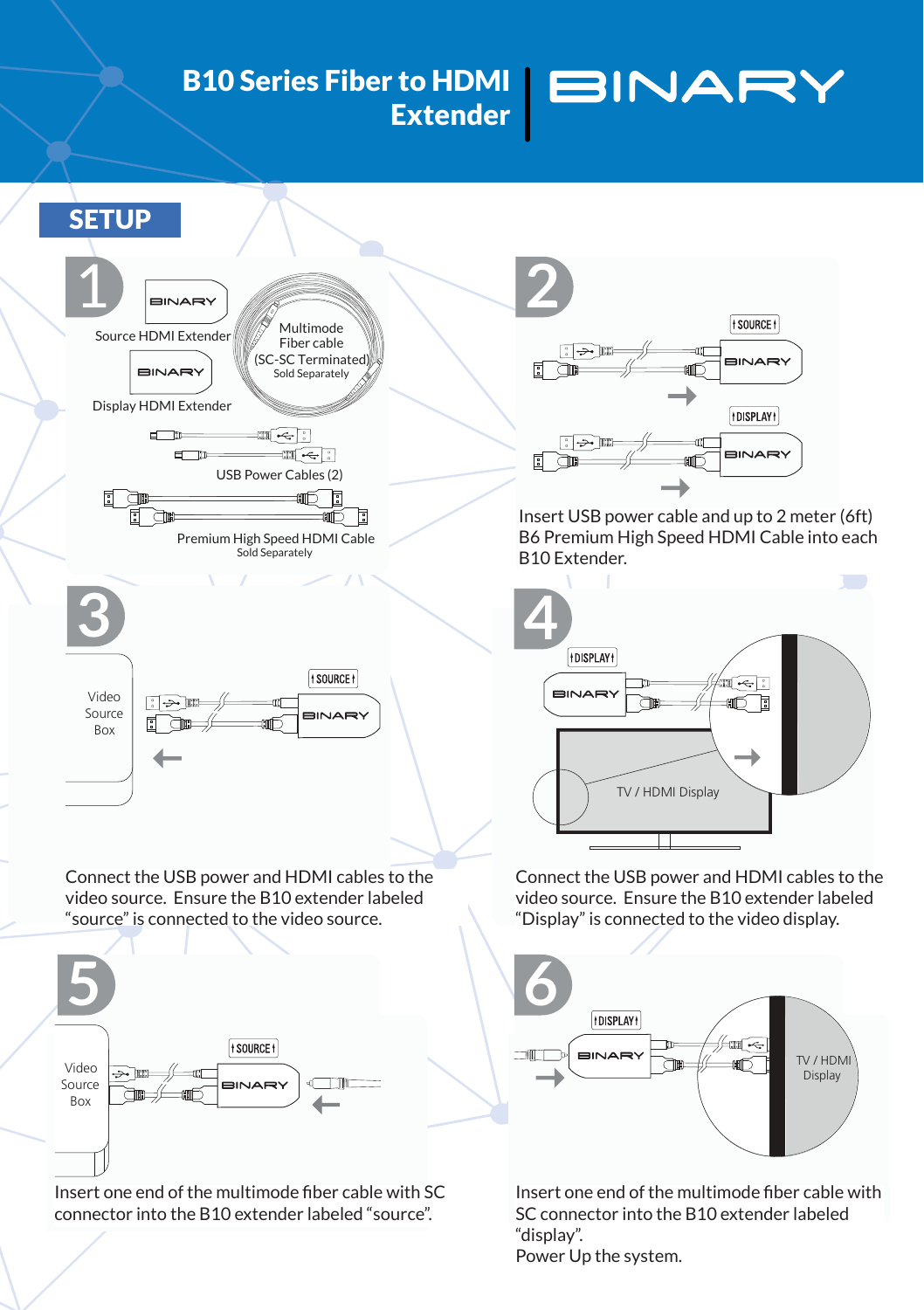## **B10 Series Fiber to HDMI** BINARY **Extender**



Connect the USB power and HDMI cables to the video source. Ensure the B10 extender labeled "source" is connected to the video source.



Insert one end of the multimode fiber cable with SC connector into the B10 extender labeled "source".



Insert USB power cable and up to 2 meter (6ft) B6 Premium High Speed HDMI Cable into each B10 Extender.



Connect the USB power and HDMI cables to the video source. Ensure the B10 extender labeled "Display" is connected to the video display.



Insert one end of the multimode fiber cable with SC connector into the B10 extender labeled "display". Power Up the system.